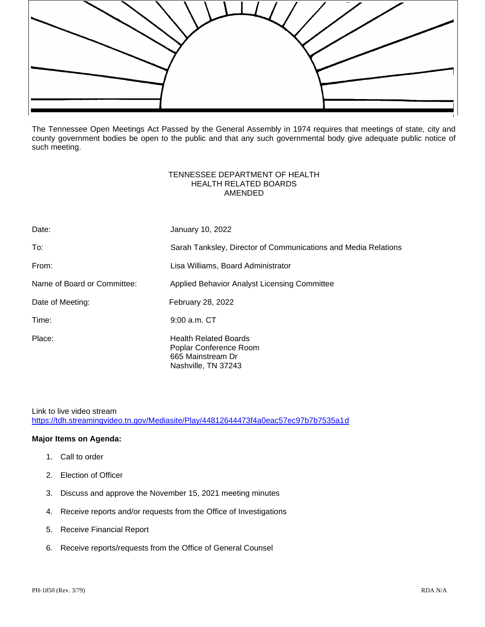

The Tennessee Open Meetings Act Passed by the General Assembly in 1974 requires that meetings of state, city and county government bodies be open to the public and that any such governmental body give adequate public notice of such meeting.

## TENNESSEE DEPARTMENT OF HEALTH HEALTH RELATED BOARDS AMENDED

| Date:                       | January 10, 2022                                                                                   |
|-----------------------------|----------------------------------------------------------------------------------------------------|
| To:                         | Sarah Tanksley, Director of Communications and Media Relations                                     |
| From:                       | Lisa Williams, Board Administrator                                                                 |
| Name of Board or Committee: | Applied Behavior Analyst Licensing Committee                                                       |
| Date of Meeting:            | <b>February 28, 2022</b>                                                                           |
| Time:                       | 9:00 a.m. CT                                                                                       |
| Place:                      | <b>Health Related Boards</b><br>Poplar Conference Room<br>665 Mainstream Dr<br>Nashville, TN 37243 |

Link to live video stream

<https://tdh.streamingvideo.tn.gov/Mediasite/Play/44812644473f4a0eac57ec97b7b7535a1d>

## **Major Items on Agenda:**

- 1. Call to order
- 2. Election of Officer
- 3. Discuss and approve the November 15, 2021 meeting minutes
- 4. Receive reports and/or requests from the Office of Investigations
- 5. Receive Financial Report
- 6. Receive reports/requests from the Office of General Counsel